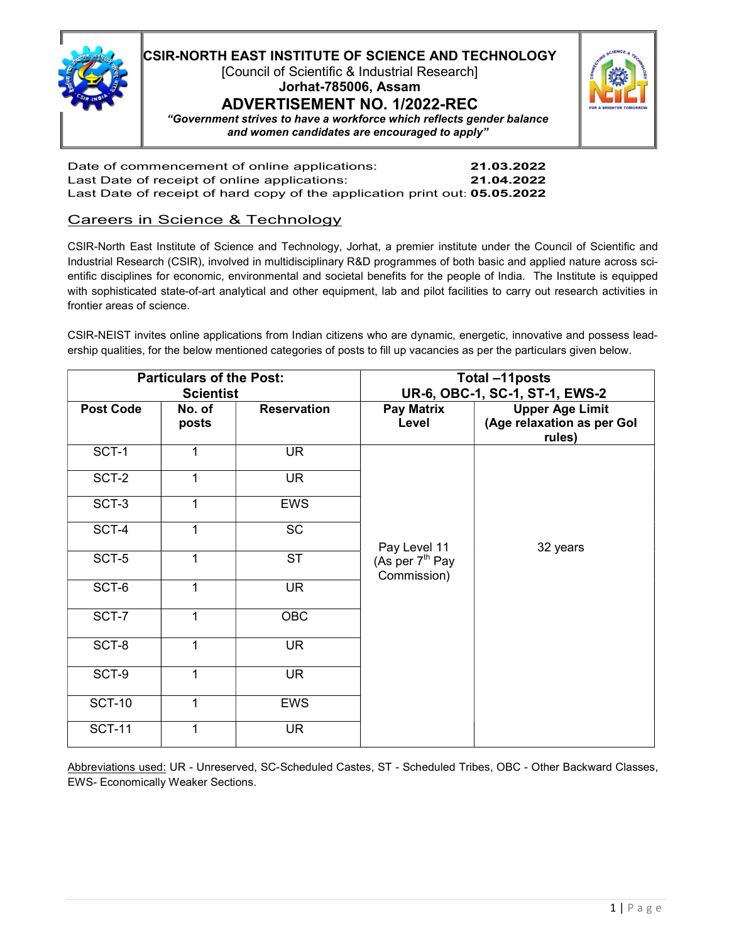

# CSIR-NORTH EAST INSTITUTE OF SCIENCE AND TECHNOLOGY [Council of Scientific & Industrial Research]

Jorhat-785006, Assam

ADVERTISEMENT NO. 1/2022-REC



"Government strives to have a workforce which reflects gender balance and women candidates are encouraged to apply"

Date of commencement of online applications: 21.03.2022 Last Date of receipt of online applications: 21.04.2022 Last Date of receipt of hard copy of the application print out: 05.05.2022

### Careers in Science & Technology

CSIR-North East Institute of Science and Technology, Jorhat, a premier institute under the Council of Scientific and Industrial Research (CSIR), involved in multidisciplinary R&D programmes of both basic and applied nature across scientific disciplines for economic, environmental and societal benefits for the people of India. The Institute is equipped with sophisticated state-of-art analytical and other equipment, lab and pilot facilities to carry out research activities in frontier areas of science.

CSIR-NEIST invites online applications from Indian citizens who are dynamic, energetic, innovative and possess leadership qualities, for the below mentioned categories of posts to fill up vacancies as per the particulars given below.

| <b>Particulars of the Post:</b><br><b>Scientist</b> |                 |                    | Total-11 posts<br>UR-6, OBC-1, SC-1, ST-1, EWS-2 |                                                                |
|-----------------------------------------------------|-----------------|--------------------|--------------------------------------------------|----------------------------------------------------------------|
| <b>Post Code</b>                                    | No. of<br>posts | <b>Reservation</b> | Pay Matrix<br>Level                              | <b>Upper Age Limit</b><br>(Age relaxation as per Gol<br>rules) |
| SCT-1                                               | 1               | <b>UR</b>          |                                                  |                                                                |
| SCT-2                                               | 1               | <b>UR</b>          |                                                  |                                                                |
| SCT-3                                               | 1               | <b>EWS</b>         |                                                  |                                                                |
| SCT-4                                               | 1               | <b>SC</b>          | Pay Level 11                                     | 32 years                                                       |
| SCT-5                                               | 1               | <b>ST</b>          | (As per 7 <sup>th</sup> Pay<br>Commission)       |                                                                |
| SCT-6                                               | 1               | <b>UR</b>          |                                                  |                                                                |
| SCT-7                                               | 1               | <b>OBC</b>         |                                                  |                                                                |
| SCT-8                                               | 1               | <b>UR</b>          |                                                  |                                                                |
| SCT-9                                               | 1               | <b>UR</b>          |                                                  |                                                                |
| <b>SCT-10</b>                                       | 1               | <b>EWS</b>         |                                                  |                                                                |
| <b>SCT-11</b>                                       | 1               | <b>UR</b>          |                                                  |                                                                |

Abbreviations used: UR - Unreserved, SC-Scheduled Castes, ST - Scheduled Tribes, OBC - Other Backward Classes, EWS- Economically Weaker Sections.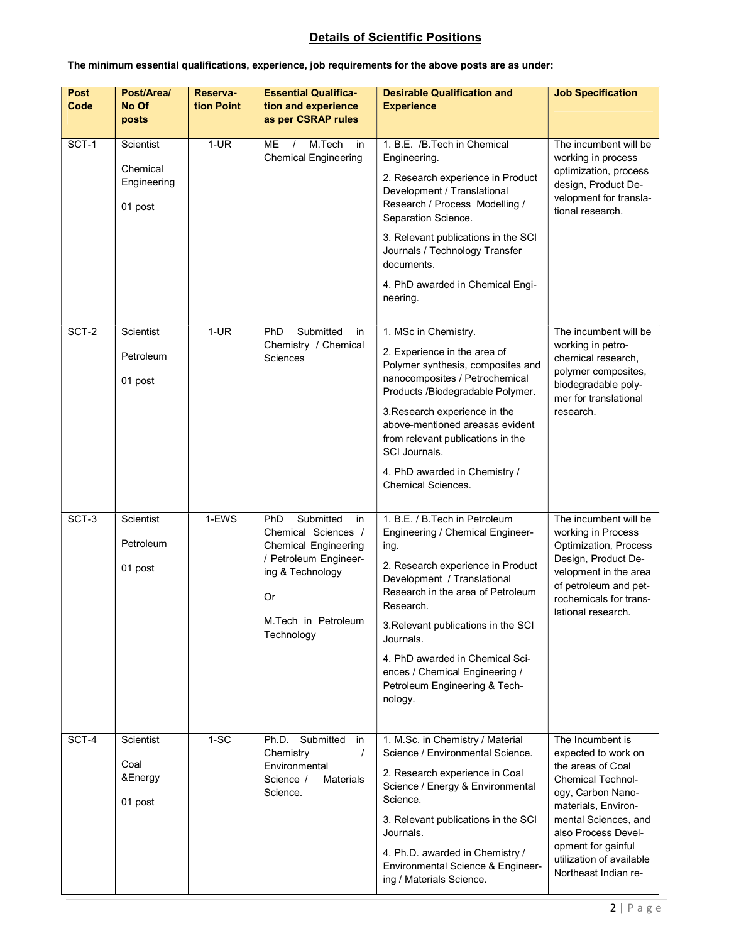# Details of Scientific Positions

The minimum essential qualifications, experience, job requirements for the above posts are as under:

| <b>Post</b><br>Code | Post/Area/<br>No Of<br>posts                    | Reserva-<br>tion Point | <b>Essential Qualifica-</b><br>tion and experience<br>as per CSRAP rules                                                                                                    | <b>Desirable Qualification and</b><br><b>Experience</b>                                                                                                                                                                                                                                                                                                              | <b>Job Specification</b>                                                                                                                                                                                                                                      |
|---------------------|-------------------------------------------------|------------------------|-----------------------------------------------------------------------------------------------------------------------------------------------------------------------------|----------------------------------------------------------------------------------------------------------------------------------------------------------------------------------------------------------------------------------------------------------------------------------------------------------------------------------------------------------------------|---------------------------------------------------------------------------------------------------------------------------------------------------------------------------------------------------------------------------------------------------------------|
| SCT-1               | Scientist<br>Chemical<br>Engineering<br>01 post | $1-UR$                 | M.Tech<br>MЕ<br>$\sqrt{ }$<br>in<br><b>Chemical Engineering</b>                                                                                                             | 1. B.E. /B.Tech in Chemical<br>Engineering.<br>2. Research experience in Product<br>Development / Translational<br>Research / Process Modelling /<br>Separation Science.<br>3. Relevant publications in the SCI<br>Journals / Technology Transfer<br>documents.<br>4. PhD awarded in Chemical Engi-<br>neering.                                                      | The incumbent will be<br>working in process<br>optimization, process<br>design, Product De-<br>velopment for transla-<br>tional research.                                                                                                                     |
| SCT-2               | <b>Scientist</b><br>Petroleum<br>01 post        | $1-UR$                 | Submitted<br>PhD<br>in<br>Chemistry / Chemical<br><b>Sciences</b>                                                                                                           | 1. MSc in Chemistry.<br>2. Experience in the area of<br>Polymer synthesis, composites and<br>nanocomposites / Petrochemical<br>Products /Biodegradable Polymer.<br>3. Research experience in the<br>above-mentioned areasas evident<br>from relevant publications in the<br>SCI Journals.<br>4. PhD awarded in Chemistry /<br><b>Chemical Sciences.</b>              | The incumbent will be<br>working in petro-<br>chemical research,<br>polymer composites,<br>biodegradable poly-<br>mer for translational<br>research.                                                                                                          |
| $SCT-3$             | Scientist<br>Petroleum<br>01 post               | 1-EWS                  | Submitted<br><b>PhD</b><br>in<br>Chemical Sciences /<br><b>Chemical Engineering</b><br>/ Petroleum Engineer-<br>ing & Technology<br>Or<br>M.Tech in Petroleum<br>Technology | 1. B.E. / B.Tech in Petroleum<br>Engineering / Chemical Engineer-<br>ing.<br>2. Research experience in Product<br>Development / Translational<br>Research in the area of Petroleum<br>Research.<br>3. Relevant publications in the SCI<br>Journals.<br>4. PhD awarded in Chemical Sci-<br>ences / Chemical Engineering /<br>Petroleum Engineering & Tech-<br>nology. | The incumbent will be<br>working in Process<br>Optimization, Process<br>Design, Product De-<br>velopment in the area<br>of petroleum and pet-<br>rochemicals for trans-<br>lational research.                                                                 |
| SCT-4               | Scientist<br>Coal<br>&Energy<br>01 post         | $1-SC$                 | Ph.D. Submitted<br>in<br>Chemistry<br>$\prime$<br>Environmental<br>Science /<br>Materials<br>Science.                                                                       | 1. M.Sc. in Chemistry / Material<br>Science / Environmental Science.<br>2. Research experience in Coal<br>Science / Energy & Environmental<br>Science.<br>3. Relevant publications in the SCI<br>Journals.<br>4. Ph.D. awarded in Chemistry /<br>Environmental Science & Engineer-<br>ing / Materials Science.                                                       | The Incumbent is<br>expected to work on<br>the areas of Coal<br><b>Chemical Technol-</b><br>ogy, Carbon Nano-<br>materials, Environ-<br>mental Sciences, and<br>also Process Devel-<br>opment for gainful<br>utilization of available<br>Northeast Indian re- |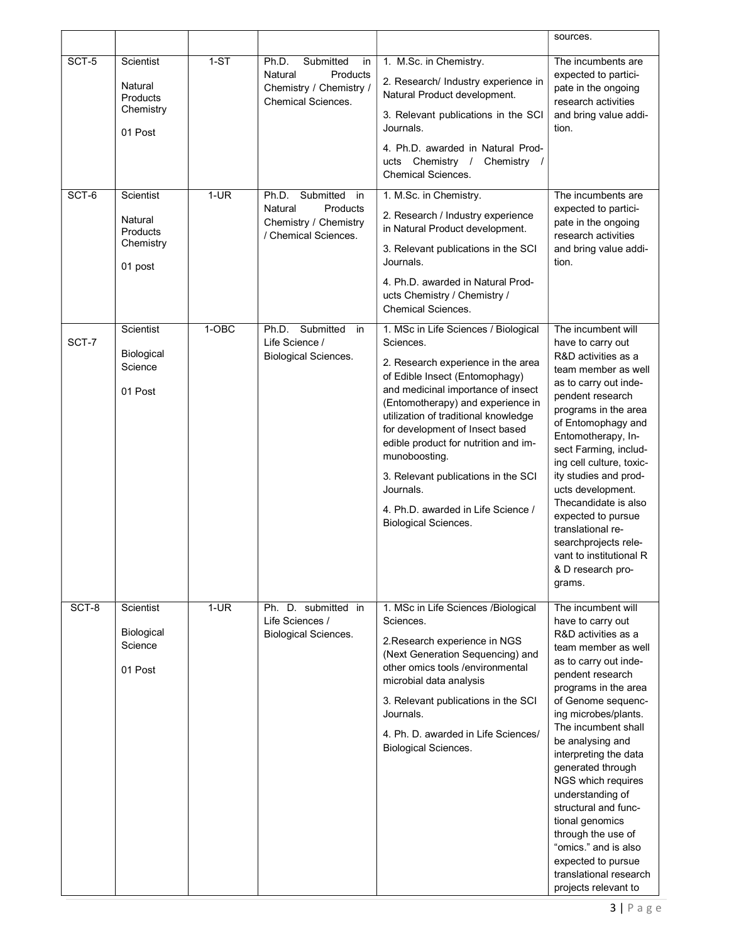|       |                                                                        |         |                                                                                                         |                                                                                                                                                                                                                                                                                                                                                                                                                                                                   | sources.                                                                                                                                                                                                                                                                                                                                                                                                                                                                                                     |
|-------|------------------------------------------------------------------------|---------|---------------------------------------------------------------------------------------------------------|-------------------------------------------------------------------------------------------------------------------------------------------------------------------------------------------------------------------------------------------------------------------------------------------------------------------------------------------------------------------------------------------------------------------------------------------------------------------|--------------------------------------------------------------------------------------------------------------------------------------------------------------------------------------------------------------------------------------------------------------------------------------------------------------------------------------------------------------------------------------------------------------------------------------------------------------------------------------------------------------|
| SCT-5 | <b>Scientist</b><br>Natural<br><b>Products</b><br>Chemistry<br>01 Post | $1-ST$  | Submitted<br>Ph.D.<br>in<br>Natural<br>Products<br>Chemistry / Chemistry /<br><b>Chemical Sciences.</b> | 1. M.Sc. in Chemistry.<br>2. Research/ Industry experience in<br>Natural Product development.<br>3. Relevant publications in the SCI<br>Journals.<br>4. Ph.D. awarded in Natural Prod-<br>ucts Chemistry /<br>Chemistry /<br><b>Chemical Sciences.</b>                                                                                                                                                                                                            | The incumbents are<br>expected to partici-<br>pate in the ongoing<br>research activities<br>and bring value addi-<br>tion.                                                                                                                                                                                                                                                                                                                                                                                   |
| SCT-6 | <b>Scientist</b><br>Natural<br>Products<br>Chemistry<br>01 post        | $1-UR$  | Submitted<br>Ph.D.<br>in<br>Products<br>Natural<br>Chemistry / Chemistry<br>/ Chemical Sciences.        | 1. M.Sc. in Chemistry.<br>2. Research / Industry experience<br>in Natural Product development.<br>3. Relevant publications in the SCI<br>Journals.<br>4. Ph.D. awarded in Natural Prod-<br>ucts Chemistry / Chemistry /<br>Chemical Sciences.                                                                                                                                                                                                                     | The incumbents are<br>expected to partici-<br>pate in the ongoing<br>research activities<br>and bring value addi-<br>tion.                                                                                                                                                                                                                                                                                                                                                                                   |
| SCT-7 | Scientist<br>Biological<br>Science<br>01 Post                          | $1-OBC$ | Submitted<br>Ph.D.<br>in<br>Life Science /<br><b>Biological Sciences.</b>                               | 1. MSc in Life Sciences / Biological<br>Sciences.<br>2. Research experience in the area<br>of Edible Insect (Entomophagy)<br>and medicinal importance of insect<br>(Entomotherapy) and experience in<br>utilization of traditional knowledge<br>for development of Insect based<br>edible product for nutrition and im-<br>munoboosting.<br>3. Relevant publications in the SCI<br>Journals.<br>4. Ph.D. awarded in Life Science /<br><b>Biological Sciences.</b> | The incumbent will<br>have to carry out<br>R&D activities as a<br>team member as well<br>as to carry out inde-<br>pendent research<br>programs in the area<br>of Entomophagy and<br>Entomotherapy, In-<br>sect Farming, includ-<br>ing cell culture, toxic-<br>ity studies and prod-<br>ucts development.<br>Thecandidate is also<br>expected to pursue<br>translational re-<br>searchprojects rele-<br>vant to institutional R<br>& D research pro-<br>grams.                                               |
| SCT-8 | Scientist<br>Biological<br>Science<br>01 Post                          | $1-UR$  | Ph. D. submitted in<br>Life Sciences /<br><b>Biological Sciences.</b>                                   | 1. MSc in Life Sciences /Biological<br>Sciences.<br>2. Research experience in NGS<br>(Next Generation Sequencing) and<br>other omics tools /environmental<br>microbial data analysis<br>3. Relevant publications in the SCI<br>Journals.<br>4. Ph. D. awarded in Life Sciences/<br><b>Biological Sciences.</b>                                                                                                                                                    | The incumbent will<br>have to carry out<br>R&D activities as a<br>team member as well<br>as to carry out inde-<br>pendent research<br>programs in the area<br>of Genome sequenc-<br>ing microbes/plants.<br>The incumbent shall<br>be analysing and<br>interpreting the data<br>generated through<br>NGS which requires<br>understanding of<br>structural and func-<br>tional genomics<br>through the use of<br>"omics." and is also<br>expected to pursue<br>translational research<br>projects relevant to |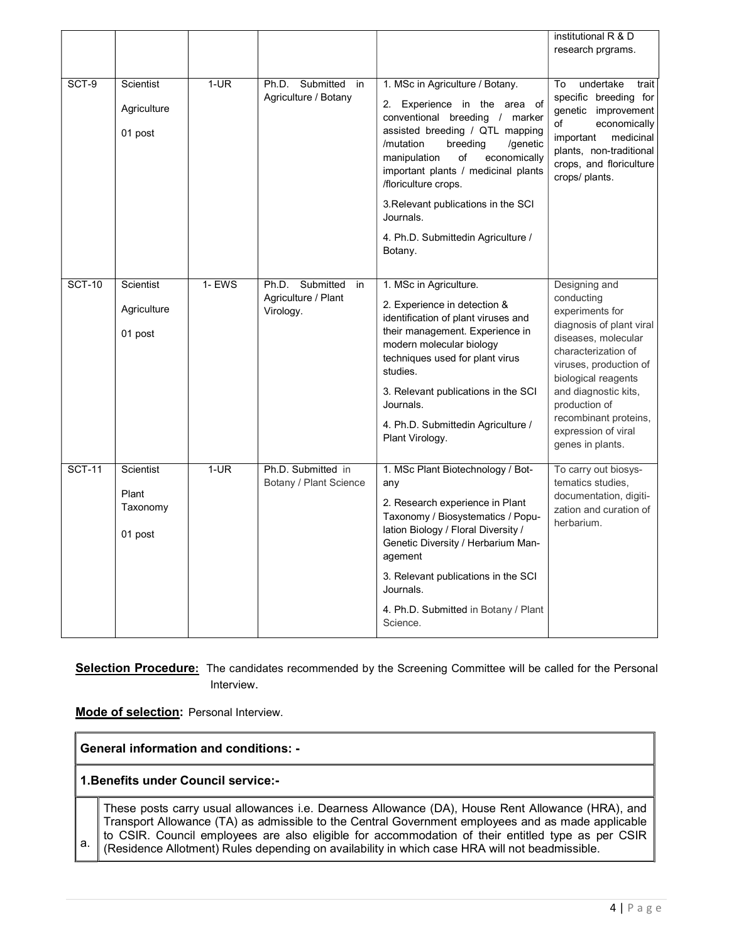|               |                                            |        |                                                           |                                                                                                                                                                                                                                                                                                                                                                                     | institutional R & D<br>research prgrams.                                                                                                                                                                                                                                               |
|---------------|--------------------------------------------|--------|-----------------------------------------------------------|-------------------------------------------------------------------------------------------------------------------------------------------------------------------------------------------------------------------------------------------------------------------------------------------------------------------------------------------------------------------------------------|----------------------------------------------------------------------------------------------------------------------------------------------------------------------------------------------------------------------------------------------------------------------------------------|
| SCT-9         | Scientist<br>Agriculture<br>01 post        | $1-UR$ | Ph.D. Submitted in<br>Agriculture / Botany                | 1. MSc in Agriculture / Botany.<br>2. Experience in the area of<br>conventional breeding / marker<br>assisted breeding / QTL mapping<br>/mutation<br>breeding<br>/genetic<br>of<br>economically<br>manipulation<br>important plants / medicinal plants<br>/floriculture crops.<br>3. Relevant publications in the SCI<br>Journals.<br>4. Ph.D. Submittedin Agriculture /<br>Botany. | undertake<br>To<br>trait<br>specific breeding for<br>genetic improvement<br>of<br>economically<br>medicinal<br>important<br>plants, non-traditional<br>crops, and floriculture<br>crops/ plants.                                                                                       |
| <b>SCT-10</b> | <b>Scientist</b><br>Agriculture<br>01 post | 1- EWS | Ph.D. Submitted<br>in<br>Agriculture / Plant<br>Virology. | 1. MSc in Agriculture.<br>2. Experience in detection &<br>identification of plant viruses and<br>their management. Experience in<br>modern molecular biology<br>techniques used for plant virus<br>studies.<br>3. Relevant publications in the SCI<br>Journals.<br>4. Ph.D. Submittedin Agriculture /<br>Plant Virology.                                                            | Designing and<br>conducting<br>experiments for<br>diagnosis of plant viral<br>diseases, molecular<br>characterization of<br>viruses, production of<br>biological reagents<br>and diagnostic kits,<br>production of<br>recombinant proteins,<br>expression of viral<br>genes in plants. |
| <b>SCT-11</b> | Scientist<br>Plant<br>Taxonomy<br>01 post  | $1-UR$ | Ph.D. Submitted in<br>Botany / Plant Science              | 1. MSc Plant Biotechnology / Bot-<br>any<br>2. Research experience in Plant<br>Taxonomy / Biosystematics / Popu-<br>lation Biology / Floral Diversity /<br>Genetic Diversity / Herbarium Man-<br>agement<br>3. Relevant publications in the SCI<br>Journals.<br>4. Ph.D. Submitted in Botany / Plant<br>Science.                                                                    | To carry out biosys-<br>tematics studies,<br>documentation, digiti-<br>zation and curation of<br>herbarium.                                                                                                                                                                            |

Selection Procedure: The candidates recommended by the Screening Committee will be called for the Personal Interview.

Mode of selection: Personal Interview.

General information and conditions: -

#### 1.Benefits under Council service:-

a.

These posts carry usual allowances i.e. Dearness Allowance (DA), House Rent Allowance (HRA), and Transport Allowance (TA) as admissible to the Central Government employees and as made applicable to CSIR. Council employees are also eligible for accommodation of their entitled type as per CSIR (Residence Allotment) Rules depending on availability in which case HRA will not beadmissible.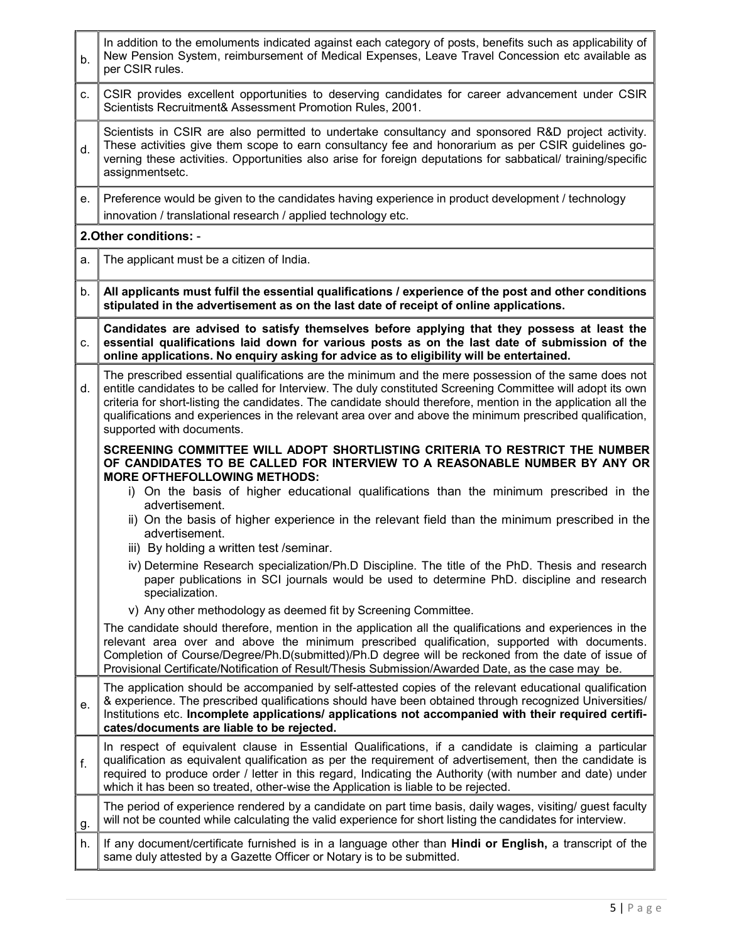| b. | In addition to the emoluments indicated against each category of posts, benefits such as applicability of<br>New Pension System, reimbursement of Medical Expenses, Leave Travel Concession etc available as<br>per CSIR rules.                                                                                                                                                                                                                                              |
|----|------------------------------------------------------------------------------------------------------------------------------------------------------------------------------------------------------------------------------------------------------------------------------------------------------------------------------------------------------------------------------------------------------------------------------------------------------------------------------|
| c. | CSIR provides excellent opportunities to deserving candidates for career advancement under CSIR<br>Scientists Recruitment& Assessment Promotion Rules, 2001.                                                                                                                                                                                                                                                                                                                 |
| d. | Scientists in CSIR are also permitted to undertake consultancy and sponsored R&D project activity.<br>These activities give them scope to earn consultancy fee and honorarium as per CSIR guidelines go-<br>verning these activities. Opportunities also arise for foreign deputations for sabbatical/ training/specific<br>assignmentsetc.                                                                                                                                  |
| е. | Preference would be given to the candidates having experience in product development / technology<br>innovation / translational research / applied technology etc.                                                                                                                                                                                                                                                                                                           |
|    | 2. Other conditions: -                                                                                                                                                                                                                                                                                                                                                                                                                                                       |
| a. | The applicant must be a citizen of India.                                                                                                                                                                                                                                                                                                                                                                                                                                    |
| b. | All applicants must fulfil the essential qualifications / experience of the post and other conditions<br>stipulated in the advertisement as on the last date of receipt of online applications.                                                                                                                                                                                                                                                                              |
| C. | Candidates are advised to satisfy themselves before applying that they possess at least the<br>essential qualifications laid down for various posts as on the last date of submission of the<br>online applications. No enquiry asking for advice as to eligibility will be entertained.                                                                                                                                                                                     |
| d. | The prescribed essential qualifications are the minimum and the mere possession of the same does not<br>entitle candidates to be called for Interview. The duly constituted Screening Committee will adopt its own<br>criteria for short-listing the candidates. The candidate should therefore, mention in the application all the<br>qualifications and experiences in the relevant area over and above the minimum prescribed qualification,<br>supported with documents. |
|    | SCREENING COMMITTEE WILL ADOPT SHORTLISTING CRITERIA TO RESTRICT THE NUMBER<br>OF CANDIDATES TO BE CALLED FOR INTERVIEW TO A REASONABLE NUMBER BY ANY OR<br><b>MORE OFTHEFOLLOWING METHODS:</b><br>i) On the basis of higher educational qualifications than the minimum prescribed in the<br>advertisement.<br>ii) On the basis of higher experience in the relevant field than the minimum prescribed in the<br>advertisement.<br>iii) By holding a written test /seminar. |
|    | iv) Determine Research specialization/Ph.D Discipline. The title of the PhD. Thesis and research<br>paper publications in SCI journals would be used to determine PhD. discipline and research<br>specialization.                                                                                                                                                                                                                                                            |
|    | v) Any other methodology as deemed fit by Screening Committee.                                                                                                                                                                                                                                                                                                                                                                                                               |
|    | The candidate should therefore, mention in the application all the qualifications and experiences in the<br>relevant area over and above the minimum prescribed qualification, supported with documents.<br>Completion of Course/Degree/Ph.D(submitted)/Ph.D degree will be reckoned from the date of issue of<br>Provisional Certificate/Notification of Result/Thesis Submission/Awarded Date, as the case may be.                                                         |
| е. | The application should be accompanied by self-attested copies of the relevant educational qualification<br>& experience. The prescribed qualifications should have been obtained through recognized Universities/<br>Institutions etc. Incomplete applications/ applications not accompanied with their required certifi-<br>cates/documents are liable to be rejected.                                                                                                      |
| f. | In respect of equivalent clause in Essential Qualifications, if a candidate is claiming a particular<br>qualification as equivalent qualification as per the requirement of advertisement, then the candidate is<br>required to produce order / letter in this regard, Indicating the Authority (with number and date) under<br>which it has been so treated, other-wise the Application is liable to be rejected.                                                           |
| g. | The period of experience rendered by a candidate on part time basis, daily wages, visiting/ guest faculty<br>will not be counted while calculating the valid experience for short listing the candidates for interview.                                                                                                                                                                                                                                                      |
| h. | If any document/certificate furnished is in a language other than Hindi or English, a transcript of the<br>same duly attested by a Gazette Officer or Notary is to be submitted.                                                                                                                                                                                                                                                                                             |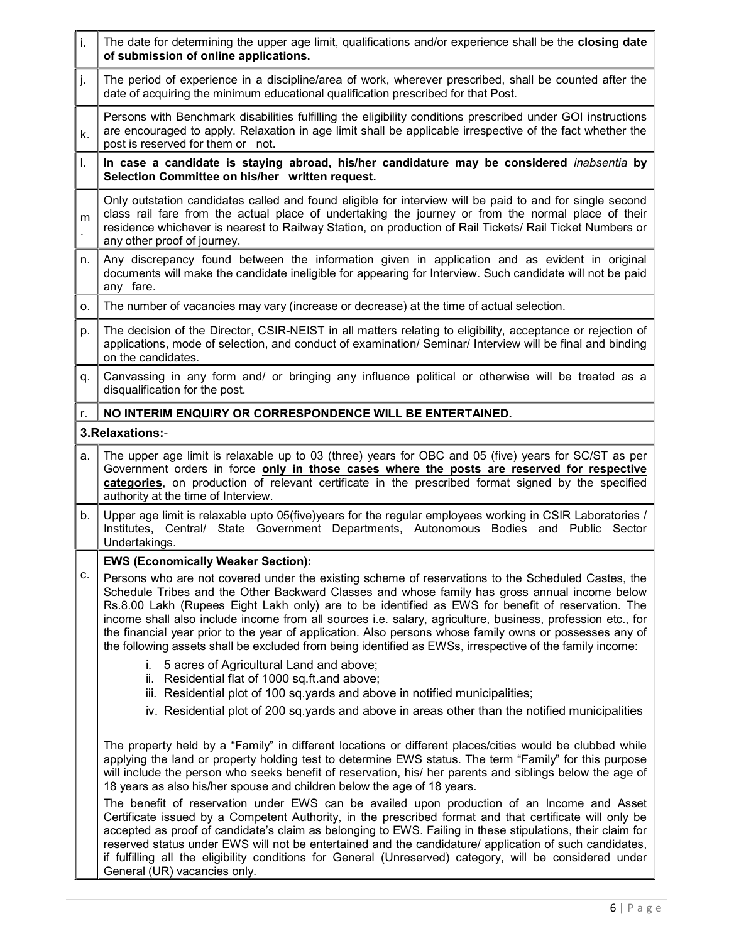| i. | The date for determining the upper age limit, qualifications and/or experience shall be the closing date<br>of submission of online applications.                                                                                                                                                                                                                                                                                                                                                                                                                                                                                             |
|----|-----------------------------------------------------------------------------------------------------------------------------------------------------------------------------------------------------------------------------------------------------------------------------------------------------------------------------------------------------------------------------------------------------------------------------------------------------------------------------------------------------------------------------------------------------------------------------------------------------------------------------------------------|
| j. | The period of experience in a discipline/area of work, wherever prescribed, shall be counted after the<br>date of acquiring the minimum educational qualification prescribed for that Post.                                                                                                                                                                                                                                                                                                                                                                                                                                                   |
| k. | Persons with Benchmark disabilities fulfilling the eligibility conditions prescribed under GOI instructions<br>are encouraged to apply. Relaxation in age limit shall be applicable irrespective of the fact whether the<br>post is reserved for them or not.                                                                                                                                                                                                                                                                                                                                                                                 |
| I. | In case a candidate is staying abroad, his/her candidature may be considered inabsentia by<br>Selection Committee on his/her written request.                                                                                                                                                                                                                                                                                                                                                                                                                                                                                                 |
| m  | Only outstation candidates called and found eligible for interview will be paid to and for single second<br>class rail fare from the actual place of undertaking the journey or from the normal place of their<br>residence whichever is nearest to Railway Station, on production of Rail Tickets/ Rail Ticket Numbers or<br>any other proof of journey.                                                                                                                                                                                                                                                                                     |
| n. | Any discrepancy found between the information given in application and as evident in original<br>documents will make the candidate ineligible for appearing for Interview. Such candidate will not be paid<br>any fare.                                                                                                                                                                                                                                                                                                                                                                                                                       |
| о. | The number of vacancies may vary (increase or decrease) at the time of actual selection.                                                                                                                                                                                                                                                                                                                                                                                                                                                                                                                                                      |
| p. | The decision of the Director, CSIR-NEIST in all matters relating to eligibility, acceptance or rejection of<br>applications, mode of selection, and conduct of examination/ Seminar/ Interview will be final and binding<br>on the candidates.                                                                                                                                                                                                                                                                                                                                                                                                |
| q. | Canvassing in any form and/ or bringing any influence political or otherwise will be treated as a<br>disqualification for the post.                                                                                                                                                                                                                                                                                                                                                                                                                                                                                                           |
| r. | NO INTERIM ENQUIRY OR CORRESPONDENCE WILL BE ENTERTAINED.                                                                                                                                                                                                                                                                                                                                                                                                                                                                                                                                                                                     |
|    | 3. Relaxations:-                                                                                                                                                                                                                                                                                                                                                                                                                                                                                                                                                                                                                              |
| а. | The upper age limit is relaxable up to 03 (three) years for OBC and 05 (five) years for SC/ST as per<br>Government orders in force only in those cases where the posts are reserved for respective<br>categories, on production of relevant certificate in the prescribed format signed by the specified<br>authority at the time of Interview.                                                                                                                                                                                                                                                                                               |
| b. | Upper age limit is relaxable upto 05(five)years for the regular employees working in CSIR Laboratories /<br>Institutes, Central/ State Government Departments, Autonomous Bodies and Public Sector<br>Undertakings.                                                                                                                                                                                                                                                                                                                                                                                                                           |
|    | <b>EWS (Economically Weaker Section):</b>                                                                                                                                                                                                                                                                                                                                                                                                                                                                                                                                                                                                     |
| С. | Persons who are not covered under the existing scheme of reservations to the Scheduled Castes, the<br>Schedule Tribes and the Other Backward Classes and whose family has gross annual income below<br>Rs.8.00 Lakh (Rupees Eight Lakh only) are to be identified as EWS for benefit of reservation. The<br>income shall also include income from all sources i.e. salary, agriculture, business, profession etc., for<br>the financial year prior to the year of application. Also persons whose family owns or possesses any of<br>the following assets shall be excluded from being identified as EWSs, irrespective of the family income: |
|    | i. 5 acres of Agricultural Land and above;<br>ii. Residential flat of 1000 sq.ft.and above;<br>iii. Residential plot of 100 sq.yards and above in notified municipalities;                                                                                                                                                                                                                                                                                                                                                                                                                                                                    |
|    | iv. Residential plot of 200 sq.yards and above in areas other than the notified municipalities                                                                                                                                                                                                                                                                                                                                                                                                                                                                                                                                                |
|    | The property held by a "Family" in different locations or different places/cities would be clubbed while<br>applying the land or property holding test to determine EWS status. The term "Family" for this purpose<br>will include the person who seeks benefit of reservation, his/ her parents and siblings below the age of<br>18 years as also his/her spouse and children below the age of 18 years.                                                                                                                                                                                                                                     |
|    | The benefit of reservation under EWS can be availed upon production of an Income and Asset<br>Certificate issued by a Competent Authority, in the prescribed format and that certificate will only be<br>accepted as proof of candidate's claim as belonging to EWS. Failing in these stipulations, their claim for<br>reserved status under EWS will not be entertained and the candidature/ application of such candidates,<br>if fulfilling all the eligibility conditions for General (Unreserved) category, will be considered under<br>General (UR) vacancies only.                                                                     |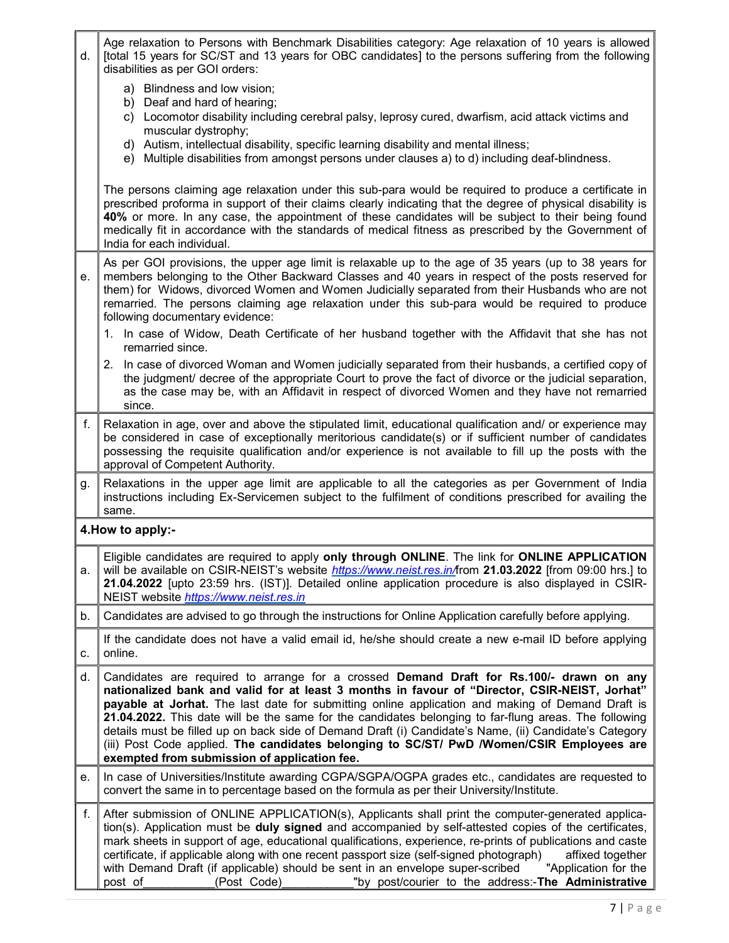| d. | Age relaxation to Persons with Benchmark Disabilities category: Age relaxation of 10 years is allowed<br>[total 15 years for SC/ST and 13 years for OBC candidates] to the persons suffering from the following<br>disabilities as per GOI orders:                                                                                                                                                                                                                                                                                                                                                                                                           |
|----|--------------------------------------------------------------------------------------------------------------------------------------------------------------------------------------------------------------------------------------------------------------------------------------------------------------------------------------------------------------------------------------------------------------------------------------------------------------------------------------------------------------------------------------------------------------------------------------------------------------------------------------------------------------|
|    | a) Blindness and low vision;<br>b) Deaf and hard of hearing;<br>c) Locomotor disability including cerebral palsy, leprosy cured, dwarfism, acid attack victims and<br>muscular dystrophy;<br>d) Autism, intellectual disability, specific learning disability and mental illness;<br>e) Multiple disabilities from amongst persons under clauses a) to d) including deaf-blindness.                                                                                                                                                                                                                                                                          |
|    | The persons claiming age relaxation under this sub-para would be required to produce a certificate in<br>prescribed proforma in support of their claims clearly indicating that the degree of physical disability is<br>40% or more. In any case, the appointment of these candidates will be subject to their being found<br>medically fit in accordance with the standards of medical fitness as prescribed by the Government of<br>India for each individual.                                                                                                                                                                                             |
| е. | As per GOI provisions, the upper age limit is relaxable up to the age of 35 years (up to 38 years for<br>members belonging to the Other Backward Classes and 40 years in respect of the posts reserved for<br>them) for Widows, divorced Women and Women Judicially separated from their Husbands who are not<br>remarried. The persons claiming age relaxation under this sub-para would be required to produce<br>following documentary evidence:                                                                                                                                                                                                          |
|    | In case of Widow, Death Certificate of her husband together with the Affidavit that she has not<br>1.<br>remarried since.                                                                                                                                                                                                                                                                                                                                                                                                                                                                                                                                    |
|    | In case of divorced Woman and Women judicially separated from their husbands, a certified copy of<br>2.<br>the judgment/ decree of the appropriate Court to prove the fact of divorce or the judicial separation,<br>as the case may be, with an Affidavit in respect of divorced Women and they have not remarried<br>since.                                                                                                                                                                                                                                                                                                                                |
| f. | Relaxation in age, over and above the stipulated limit, educational qualification and/ or experience may<br>be considered in case of exceptionally meritorious candidate(s) or if sufficient number of candidates<br>possessing the requisite qualification and/or experience is not available to fill up the posts with the<br>approval of Competent Authority.                                                                                                                                                                                                                                                                                             |
| g. | Relaxations in the upper age limit are applicable to all the categories as per Government of India<br>instructions including Ex-Servicemen subject to the fulfilment of conditions prescribed for availing the<br>same.                                                                                                                                                                                                                                                                                                                                                                                                                                      |
|    | 4. How to apply:-                                                                                                                                                                                                                                                                                                                                                                                                                                                                                                                                                                                                                                            |
| a. | Eligible candidates are required to apply only through ONLINE. The link for ONLINE APPLICATION<br>will be available on CSIR-NEIST's website https://www.neist.res.in/from 21.03.2022 [from 09:00 hrs.] to<br>21.04.2022 [upto 23:59 hrs. (IST)]. Detailed online application procedure is also displayed in CSIR-<br>NEIST website https://www.neist.res.in                                                                                                                                                                                                                                                                                                  |
| b. | Candidates are advised to go through the instructions for Online Application carefully before applying.                                                                                                                                                                                                                                                                                                                                                                                                                                                                                                                                                      |
| с. | If the candidate does not have a valid email id, he/she should create a new e-mail ID before applying<br>online.                                                                                                                                                                                                                                                                                                                                                                                                                                                                                                                                             |
| d. | Candidates are required to arrange for a crossed Demand Draft for Rs.100/- drawn on any<br>nationalized bank and valid for at least 3 months in favour of "Director, CSIR-NEIST, Jorhat"<br>payable at Jorhat. The last date for submitting online application and making of Demand Draft is<br>21.04.2022. This date will be the same for the candidates belonging to far-flung areas. The following<br>details must be filled up on back side of Demand Draft (i) Candidate's Name, (ii) Candidate's Category<br>(iii) Post Code applied. The candidates belonging to SC/ST/ PwD /Women/CSIR Employees are<br>exempted from submission of application fee. |
| е. | In case of Universities/Institute awarding CGPA/SGPA/OGPA grades etc., candidates are requested to<br>convert the same in to percentage based on the formula as per their University/Institute.                                                                                                                                                                                                                                                                                                                                                                                                                                                              |
| f. | After submission of ONLINE APPLICATION(s), Applicants shall print the computer-generated applica-<br>tion(s). Application must be duly signed and accompanied by self-attested copies of the certificates,<br>mark sheets in support of age, educational qualifications, experience, re-prints of publications and caste<br>certificate, if applicable along with one recent passport size (self-signed photograph)<br>affixed together<br>with Demand Draft (if applicable) should be sent in an envelope super-scribed<br>"Application for the<br>"by post/courier to the address:-The Administrative<br>post of<br>(Post Code)                            |